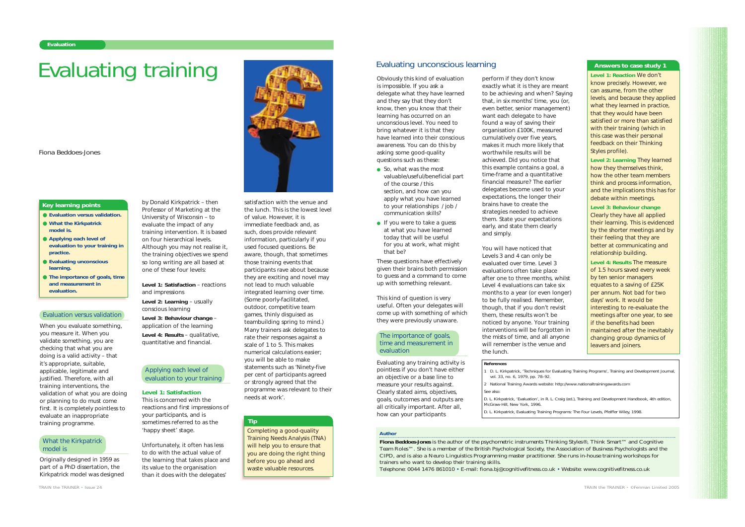When you evaluate something, you measure it. When you validate something, you are checking that what you are doing is a valid activity – that it's appropriate, suitable, applicable, legitimate and justified. Therefore, with all training interventions, the validation of what you are doing or planning to do must come first. It is completely pointless to evaluate an inappropriate training programme.

Originally designed in 1959 as part of a PhD dissertation, the Kirkpatrick model was designed by Donald Kirkpatrick – then Professor of Marketing at the University of Wisconsin – to evaluate the impact of any training intervention. It is based on four hierarchical levels. Although you may not realise it, the training objectives we spend so long writing are all based at one of these four levels:

**Level 1: Satisfaction** – reactions and impressions

**Level 2: Learning** – usually

conscious learning **Level 3: Behaviour change** – application of the learning **Level 4: Results** – qualitative,

quantitative and financial.

#### **Level 1: Satisfaction**

This is concerned with the reactions and first impressions of your participants, and is sometimes referred to as the 'happy sheet' stage.

Unfortunately, it often has less to do with the actual value of the learning that takes place and its value to the organisation than it does with the delegates'

Applying each level of evaluation to your training satisfaction with the venue and the lunch. This is the lowest level of value. However, it is immediate feedback and, as such, does provide relevant information, particularly if you used focused questions. Be aware, though, that sometimes those training events that participants rave about because they are exciting and novel may not lead to much valuable integrated learning over time. (Some poorly-facilitated, outdoor, competitive team games, thinly disguised as teambuilding spring to mind.) Many trainers ask delegates to rate their responses against a scale of 1 to 5. This makes numerical calculations easier; you will be able to make statements such as 'Ninety-five per cent of participants agreed or strongly agreed that the programme was relevant to their needs at work'.

- So, what was the most valuable/useful/beneficial part of the course / this section, and how can you apply what you have learned to your relationships / job / communication skills?
- If you were to take a guess at what you have learned today that will be useful for you at work, what might that be?
- **Evaluation versus validation.**
- **What the Kirkpatrick model is.**
- **Applying each level of evaluation to your training in practice.**
- **Evaluating unconscious learning.**
- **The importance of goals, time and measurement in evaluation.**

#### **Key learning points**

#### *Author*

**Fiona Beddoes-Jones** is the author of the psychometric instruments Thinking Styles®, Think Smart™ and Cognitive Team Roles™. She is a member of the British Psychological Society, the Association of Business Psychologists and the CIPD, and is also a Neuro Linguistics Programming master practitioner. She runs in-house training workshops for trainers who want to develop their training skills.

Telephone: 0044 1476 861010 • E-mail: fiona.bj@cognitivefitness.co.uk • Website: www.cognitivefitness.co.uk

*TRAIN the TRAINER • ©Fenman Limited 2005*

# Evaluating training

*Fiona Beddoes-Jones*

#### Evaluation versus validation

### What the Kirkpatrick model is

Obviously this kind of evaluation is impossible. If you ask a delegate what they have learned and they say that they don't know, then you know that their learning has occurred on an unconscious level. You need to bring whatever it is that they have learned into their conscious awareness. You can do this by asking some good-quality questions such as these:

These questions have effectively given their brains both permission to guess and a command to come up with something relevant.

This kind of question is very useful. Often your delegates will come up with something of which they were previously unaware.

Evaluating any training activity is pointless if you don't have either an objective or a base line to measure your results against. Clearly stated aims, objectives, goals, outcomes and outputs are all critically important. After all, how can your participants

perform if they don't know

exactly what it is they are meant to be achieving and when? Saying that, in six months' time, you (or,



evaluated over time. Level 3 evaluations often take place after one to three months, whilst Level 4 evaluations can take six months to a year (or even longer) to be fully realised. Remember, though, that if you don't revisit them, these results won't be noticed by anyone. Your training interventions will be forgotten in the mists of time, and all anyone will remember is the venue and the lunch.



Completing a good-quality Training Needs Analysis (TNA) will help you to ensure that you are doing the right thing before you go ahead and waste valuable resources.

# **Tip**

**References** 1 D. L. Kirkpatrick, 'Techniques for Evaluating Training Programs', *Training and Development Journal*, vol. 33, no. 6, 1979, pp. 78–92.

2 National Training Awards website: http://www.nationaltrainingawards.com See also:

D. L. Kirkpatrick, 'Evaluation', in R. L. Craig (ed.), Training and Development Handbook, 4th edition,

McGraw-Hill, New York, 1996.

D. L. Kirkpatrick, *Evaluating Training Programs: The Four Levels*, Pfeiffer Wiley, 1998.

# Evaluating unconscious learning

**Level 1: Reaction** *We don't know precisely. However, we can assume, from the other levels, and because they applied what they learned in practice, that they would have been satisfied or more than satisfied with their training (which in this case was their personal feedback on their Thinking Styles profile).*

**Level 2: Learning** *They learned how they themselves think, how the other team members think and process information, and the implications this has for debate within meetings.*

*Level 3: Behaviour change Clearly they have all applied their learning. This is evidenced by the shorter meetings and by their feeling that they are better at communicating and relationship building.* 

**Level 4: Results** *The measure of 1.5 hours saved every week by ten senior managers equates to a saving of £25K per annum. Not bad for two days' work. It would be interesting to re-evaluate the meetings after one year, to see if the benefits had been maintained after the inevitably changing group dynamics of leavers and joiners.*

# **Answers to case study 1**

# The importance of goals, time and measurement in

evaluation